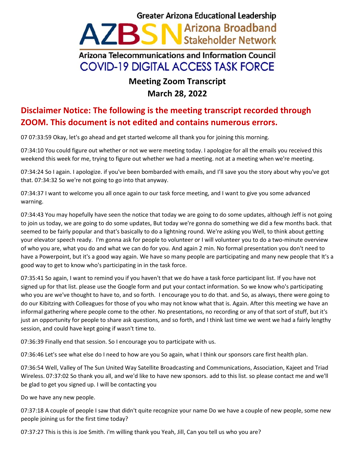## **Greater Arizona Educational Leadership** AZBSN Arizona Broadband Arizona Telecommunications and Information Council **COVID-19 DIGITAL ACCESS TASK FORCE**

## **Meeting Zoom Transcript March 28, 2022**

## **Disclaimer Notice: The following is the meeting transcript recorded through ZOOM. This document is not edited and contains numerous errors.**

07 07:33:59 Okay, let's go ahead and get started welcome all thank you for joining this morning.

07:34:10 You could figure out whether or not we were meeting today. I apologize for all the emails you received this weekend this week for me, trying to figure out whether we had a meeting. not at a meeting when we're meeting.

07:34:24 So I again. I apologize. if you've been bombarded with emails, and I'll save you the story about why you've got that. 07:34:32 So we're not going to go into that anyway.

07:34:37 I want to welcome you all once again to our task force meeting, and I want to give you some advanced warning.

07:34:43 You may hopefully have seen the notice that today we are going to do some updates, although Jeff is not going to join us today, we are going to do some updates, But today we're gonna do something we did a few months back. that seemed to be fairly popular and that's basically to do a lightning round. We're asking you Well, to think about getting your elevator speech ready. I'm gonna ask for people to volunteer or I will volunteer you to do a two-minute overview of who you are, what you do and what we can do for you. And again 2 min. No formal presentation you don't need to have a Powerpoint, but it's a good way again. We have so many people are participating and many new people that It's a good way to get to know who's participating in in the task force.

07:35:41 So again, I want to remind you if you haven't that we do have a task force participant list. If you have not signed up for that list. please use the Google form and put your contact information. So we know who's participating who you are we've thought to have to, and so forth. I encourage you to do that. and So, as always, there were going to do our Kibitzing with Colleagues for those of you who may not know what that is. Again. After this meeting we have an informal gathering where people come to the other. No presentations, no recording or any of that sort of stuff, but it's just an opportunity for people to share ask questions, and so forth, and I think last time we went we had a fairly lengthy session, and could have kept going if wasn't time to.

07:36:39 Finally end that session. So I encourage you to participate with us.

07:36:46 Let's see what else do I need to how are you So again, what I think our sponsors care first health plan.

07:36:54 Well, Valley of The Sun United Way Satellite Broadcasting and Communications, Association, Kajeet and Triad Wireless. 07:37:02 So thank you all, and we'd like to have new sponsors. add to this list. so please contact me and we'll be glad to get you signed up. I will be contacting you

Do we have any new people.

07:37:18 A couple of people I saw that didn't quite recognize your name Do we have a couple of new people, some new people joining us for the first time today?

07:37:27 This is this is Joe Smith. i'm willing thank you Yeah, Jill, Can you tell us who you are?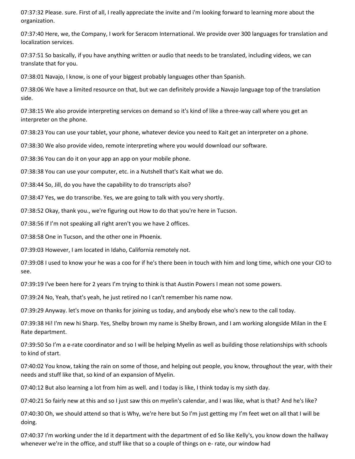07:37:32 Please. sure. First of all, I really appreciate the invite and i'm looking forward to learning more about the organization.

07:37:40 Here, we, the Company, I work for Seracom International. We provide over 300 languages for translation and localization services.

07:37:51 So basically, if you have anything written or audio that needs to be translated, including videos, we can translate that for you.

07:38:01 Navajo, I know, is one of your biggest probably languages other than Spanish.

07:38:06 We have a limited resource on that, but we can definitely provide a Navajo language top of the translation side.

07:38:15 We also provide interpreting services on demand so it's kind of like a three-way call where you get an interpreter on the phone.

07:38:23 You can use your tablet, your phone, whatever device you need to Kait get an interpreter on a phone.

07:38:30 We also provide video, remote interpreting where you would download our software.

07:38:36 You can do it on your app an app on your mobile phone.

07:38:38 You can use your computer, etc. in a Nutshell that's Kait what we do.

07:38:44 So, Jill, do you have the capability to do transcripts also?

07:38:47 Yes, we do transcribe. Yes, we are going to talk with you very shortly.

07:38:52 Okay, thank you., we're figuring out How to do that you're here in Tucson.

07:38:56 If I'm not speaking all right aren't you we have 2 offices.

07:38:58 One in Tucson, and the other one in Phoenix.

07:39:03 However, I am located in Idaho, California remotely not.

07:39:08 I used to know your he was a coo for if he's there been in touch with him and long time, which one your CIO to see.

07:39:19 I've been here for 2 years I'm trying to think is that Austin Powers I mean not some powers.

07:39:24 No, Yeah, that's yeah, he just retired no I can't remember his name now.

07:39:29 Anyway. let's move on thanks for joining us today, and anybody else who's new to the call today.

07:39:38 Hi! I'm new hi Sharp. Yes, Shelby brown my name is Shelby Brown, and I am working alongside Milan in the E Rate department.

07:39:50 So I'm a e-rate coordinator and so I will be helping Myelin as well as building those relationships with schools to kind of start.

07:40:02 You know, taking the rain on some of those, and helping out people, you know, throughout the year, with their needs and stuff like that, so kind of an expansion of Myelin.

07:40:12 But also learning a lot from him as well. and I today is like, I think today is my sixth day.

07:40:21 So fairly new at this and so I just saw this on myelin's calendar, and I was like, what is that? And he's like?

07:40:30 Oh, we should attend so that is Why, we're here but So I'm just getting my I'm feet wet on all that I will be doing.

07:40:37 I'm working under the Id it department with the department of ed So like Kelly's, you know down the hallway whenever we're in the office, and stuff like that so a couple of things on e- rate, our window had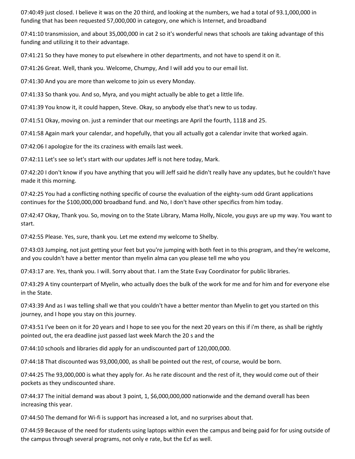07:40:49 just closed. I believe it was on the 20 third, and looking at the numbers, we had a total of 93.1,000,000 in funding that has been requested 57,000,000 in category, one which is Internet, and broadband

07:41:10 transmission, and about 35,000,000 in cat 2 so it's wonderful news that schools are taking advantage of this funding and utilizing it to their advantage.

07:41:21 So they have money to put elsewhere in other departments, and not have to spend it on it.

07:41:26 Great. Well, thank you. Welcome, Chumpy, And I will add you to our email list.

07:41:30 And you are more than welcome to join us every Monday.

07:41:33 So thank you. And so, Myra, and you might actually be able to get a little life.

07:41:39 You know it, it could happen, Steve. Okay, so anybody else that's new to us today.

07:41:51 Okay, moving on. just a reminder that our meetings are April the fourth, 1118 and 25.

07:41:58 Again mark your calendar, and hopefully, that you all actually got a calendar invite that worked again.

07:42:06 I apologize for the its craziness with emails last week.

07:42:11 Let's see so let's start with our updates Jeff is not here today, Mark.

07:42:20 I don't know if you have anything that you will Jeff said he didn't really have any updates, but he couldn't have made it this morning.

07:42:25 You had a conflicting nothing specific of course the evaluation of the eighty-sum odd Grant applications continues for the \$100,000,000 broadband fund. and No, I don't have other specifics from him today.

07:42:47 Okay, Thank you. So, moving on to the State Library, Mama Holly, Nicole, you guys are up my way. You want to start.

07:42:55 Please. Yes, sure, thank you. Let me extend my welcome to Shelby.

07:43:03 Jumping, not just getting your feet but you're jumping with both feet in to this program, and they're welcome, and you couldn't have a better mentor than myelin alma can you please tell me who you

07:43:17 are. Yes, thank you. I will. Sorry about that. I am the State Evay Coordinator for public libraries.

07:43:29 A tiny counterpart of Myelin, who actually does the bulk of the work for me and for him and for everyone else in the State.

07:43:39 And as I was telling shall we that you couldn't have a better mentor than Myelin to get you started on this journey, and I hope you stay on this journey.

07:43:51 I've been on it for 20 years and I hope to see you for the next 20 years on this if i'm there, as shall be rightly pointed out, the era deadline just passed last week March the 20 s and the

07:44:10 schools and libraries did apply for an undiscounted part of 120,000,000.

07:44:18 That discounted was 93,000,000, as shall be pointed out the rest, of course, would be born.

07:44:25 The 93,000,000 is what they apply for. As he rate discount and the rest of it, they would come out of their pockets as they undiscounted share.

07:44:37 The initial demand was about 3 point, 1, \$6,000,000,000 nationwide and the demand overall has been increasing this year.

07:44:50 The demand for Wi-fi is support has increased a lot, and no surprises about that.

07:44:59 Because of the need for students using laptops within even the campus and being paid for for using outside of the campus through several programs, not only e rate, but the Ecf as well.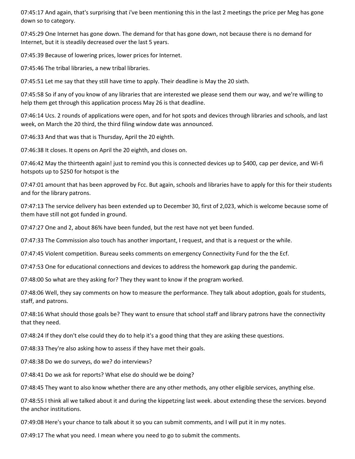07:45:17 And again, that's surprising that i've been mentioning this in the last 2 meetings the price per Meg has gone down so to category.

07:45:29 One Internet has gone down. The demand for that has gone down, not because there is no demand for Internet, but it is steadily decreased over the last 5 years.

07:45:39 Because of lowering prices, lower prices for Internet.

07:45:46 The tribal libraries, a new tribal libraries.

07:45:51 Let me say that they still have time to apply. Their deadline is May the 20 sixth.

07:45:58 So if any of you know of any libraries that are interested we please send them our way, and we're willing to help them get through this application process May 26 is that deadline.

07:46:14 Ucs. 2 rounds of applications were open, and for hot spots and devices through libraries and schools, and last week, on March the 20 third, the third filing window date was announced.

07:46:33 And that was that is Thursday, April the 20 eighth.

07:46:38 It closes. It opens on April the 20 eighth, and closes on.

07:46:42 May the thirteenth again! just to remind you this is connected devices up to \$400, cap per device, and Wi-fi hotspots up to \$250 for hotspot is the

07:47:01 amount that has been approved by Fcc. But again, schools and libraries have to apply for this for their students and for the library patrons.

07:47:13 The service delivery has been extended up to December 30, first of 2,023, which is welcome because some of them have still not got funded in ground.

07:47:27 One and 2, about 86% have been funded, but the rest have not yet been funded.

07:47:33 The Commission also touch has another important, I request, and that is a request or the while.

07:47:45 Violent competition. Bureau seeks comments on emergency Connectivity Fund for the the Ecf.

07:47:53 One for educational connections and devices to address the homework gap during the pandemic.

07:48:00 So what are they asking for? They they want to know if the program worked.

07:48:06 Well, they say comments on how to measure the performance. They talk about adoption, goals for students, staff, and patrons.

07:48:16 What should those goals be? They want to ensure that school staff and library patrons have the connectivity that they need.

07:48:24 If they don't else could they do to help it's a good thing that they are asking these questions.

07:48:33 They're also asking how to assess if they have met their goals.

07:48:38 Do we do surveys, do we? do interviews?

07:48:41 Do we ask for reports? What else do should we be doing?

07:48:45 They want to also know whether there are any other methods, any other eligible services, anything else.

07:48:55 I think all we talked about it and during the kippetzing last week. about extending these the services. beyond the anchor institutions.

07:49:08 Here's your chance to talk about it so you can submit comments, and I will put it in my notes.

07:49:17 The what you need. I mean where you need to go to submit the comments.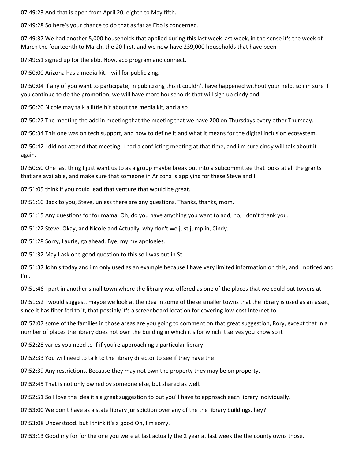07:49:23 And that is open from April 20, eighth to May fifth.

07:49:28 So here's your chance to do that as far as Ebb is concerned.

07:49:37 We had another 5,000 households that applied during this last week last week, in the sense it's the week of March the fourteenth to March, the 20 first, and we now have 239,000 households that have been

07:49:51 signed up for the ebb. Now, acp program and connect.

07:50:00 Arizona has a media kit. I will for publicizing.

07:50:04 If any of you want to participate, in publicizing this it couldn't have happened without your help, so i'm sure if you continue to do the promotion, we will have more households that will sign up cindy and

07:50:20 Nicole may talk a little bit about the media kit, and also

07:50:27 The meeting the add in meeting that the meeting that we have 200 on Thursdays every other Thursday.

07:50:34 This one was on tech support, and how to define it and what it means for the digital inclusion ecosystem.

07:50:42 I did not attend that meeting. I had a conflicting meeting at that time, and i'm sure cindy will talk about it again.

07:50:50 One last thing I just want us to as a group maybe break out into a subcommittee that looks at all the grants that are available, and make sure that someone in Arizona is applying for these Steve and I

07:51:05 think if you could lead that venture that would be great.

07:51:10 Back to you, Steve, unless there are any questions. Thanks, thanks, mom.

07:51:15 Any questions for for mama. Oh, do you have anything you want to add, no, I don't thank you.

07:51:22 Steve. Okay, and Nicole and Actually, why don't we just jump in, Cindy.

07:51:28 Sorry, Laurie, go ahead. Bye, my my apologies.

07:51:32 May I ask one good question to this so I was out in St.

07:51:37 John's today and i'm only used as an example because I have very limited information on this, and I noticed and I'm.

07:51:46 I part in another small town where the library was offered as one of the places that we could put towers at

07:51:52 I would suggest. maybe we look at the idea in some of these smaller towns that the library is used as an asset, since it has fiber fed to it, that possibly it's a screenboard location for covering low-cost Internet to

07:52:07 some of the families in those areas are you going to comment on that great suggestion, Rory, except that in a number of places the library does not own the building in which it's for which it serves you know so it

07:52:28 varies you need to if if you're approaching a particular library.

07:52:33 You will need to talk to the library director to see if they have the

07:52:39 Any restrictions. Because they may not own the property they may be on property.

07:52:45 That is not only owned by someone else, but shared as well.

07:52:51 So I love the idea it's a great suggestion to but you'll have to approach each library individually.

07:53:00 We don't have as a state library jurisdiction over any of the the library buildings, hey?

07:53:08 Understood. but I think it's a good Oh, I'm sorry.

07:53:13 Good my for for the one you were at last actually the 2 year at last week the the county owns those.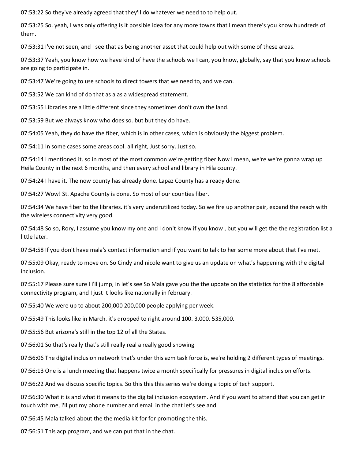07:53:22 So they've already agreed that they'll do whatever we need to to help out.

07:53:25 So. yeah, I was only offering is it possible idea for any more towns that I mean there's you know hundreds of them.

07:53:31 I've not seen, and I see that as being another asset that could help out with some of these areas.

07:53:37 Yeah, you know how we have kind of have the schools we I can, you know, globally, say that you know schools are going to participate in.

07:53:47 We're going to use schools to direct towers that we need to, and we can.

07:53:52 We can kind of do that as a as a widespread statement.

07:53:55 Libraries are a little different since they sometimes don't own the land.

07:53:59 But we always know who does so. but but they do have.

07:54:05 Yeah, they do have the fiber, which is in other cases, which is obviously the biggest problem.

07:54:11 In some cases some areas cool. all right, Just sorry. Just so.

07:54:14 I mentioned it. so in most of the most common we're getting fiber Now I mean, we're we're gonna wrap up Heila County in the next 6 months, and then every school and library in Hila county.

07:54:24 I have it. The now county has already done. Lapaz County has already done.

07:54:27 Wow! St. Apache County is done. So most of our counties fiber.

07:54:34 We have fiber to the libraries. it's very underutilized today. So we fire up another pair, expand the reach with the wireless connectivity very good.

07:54:48 So so, Rory, I assume you know my one and I don't know if you know , but you will get the the registration list a little later.

07:54:58 If you don't have mala's contact information and if you want to talk to her some more about that I've met.

07:55:09 Okay, ready to move on. So Cindy and nicole want to give us an update on what's happening with the digital inclusion.

07:55:17 Please sure sure I i'll jump, in let's see So Mala gave you the the update on the statistics for the 8 affordable connectivity program, and I just it looks like nationally in february.

07:55:40 We were up to about 200,000 200,000 people applying per week.

07:55:49 This looks like in March. it's dropped to right around 100. 3,000. 535,000.

07:55:56 But arizona's still in the top 12 of all the States.

07:56:01 So that's really that's still really real a really good showing

07:56:06 The digital inclusion network that's under this azm task force is, we're holding 2 different types of meetings.

07:56:13 One is a lunch meeting that happens twice a month specifically for pressures in digital inclusion efforts.

07:56:22 And we discuss specific topics. So this this this series we're doing a topic of tech support.

07:56:30 What it is and what it means to the digital inclusion ecosystem. And if you want to attend that you can get in touch with me, i'll put my phone number and email in the chat let's see and

07:56:45 Mala talked about the the media kit for for promoting the this.

07:56:51 This acp program, and we can put that in the chat.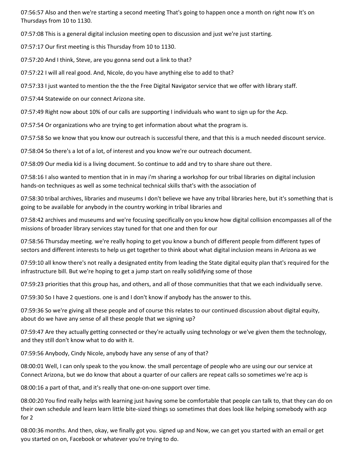07:56:57 Also and then we're starting a second meeting That's going to happen once a month on right now It's on Thursdays from 10 to 1130.

07:57:08 This is a general digital inclusion meeting open to discussion and just we're just starting.

07:57:17 Our first meeting is this Thursday from 10 to 1130.

07:57:20 And I think, Steve, are you gonna send out a link to that?

07:57:22 I will all real good. And, Nicole, do you have anything else to add to that?

07:57:33 I just wanted to mention the the the Free Digital Navigator service that we offer with library staff.

07:57:44 Statewide on our connect Arizona site.

07:57:49 Right now about 10% of our calls are supporting I individuals who want to sign up for the Acp.

07:57:54 Or organizations who are trying to get information about what the program is.

07:57:58 So we know that you know our outreach is successful there, and that this is a much needed discount service.

07:58:04 So there's a lot of a lot, of interest and you know we're our outreach document.

07:58:09 Our media kid is a living document. So continue to add and try to share share out there.

07:58:16 I also wanted to mention that in in may i'm sharing a workshop for our tribal libraries on digital inclusion hands-on techniques as well as some technical technical skills that's with the association of

07:58:30 tribal archives, libraries and museums I don't believe we have any tribal libraries here, but it's something that is going to be available for anybody in the country working in tribal libraries and

07:58:42 archives and museums and we're focusing specifically on you know how digital collision encompasses all of the missions of broader library services stay tuned for that one and then for our

07:58:56 Thursday meeting. we're really hoping to get you know a bunch of different people from different types of sectors and different interests to help us get together to think about what digital inclusion means in Arizona as we

07:59:10 all know there's not really a designated entity from leading the State digital equity plan that's required for the infrastructure bill. But we're hoping to get a jump start on really solidifying some of those

07:59:23 priorities that this group has, and others, and all of those communities that that we each individually serve.

07:59:30 So I have 2 questions. one is and I don't know if anybody has the answer to this.

07:59:36 So we're giving all these people and of course this relates to our continued discussion about digital equity, about do we have any sense of all these people that we signing up?

07:59:47 Are they actually getting connected or they're actually using technology or we've given them the technology, and they still don't know what to do with it.

07:59:56 Anybody, Cindy Nicole, anybody have any sense of any of that?

08:00:01 Well, I can only speak to the you know. the small percentage of people who are using our our service at Connect Arizona, but we do know that about a quarter of our callers are repeat calls so sometimes we're acp is

08:00:16 a part of that, and it's really that one-on-one support over time.

08:00:20 You find really helps with learning just having some be comfortable that people can talk to, that they can do on their own schedule and learn learn little bite-sized things so sometimes that does look like helping somebody with acp for 2

08:00:36 months. And then, okay, we finally got you. signed up and Now, we can get you started with an email or get you started on on, Facebook or whatever you're trying to do.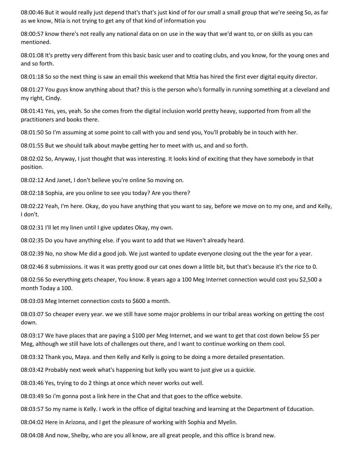08:00:46 But it would really just depend that's that's just kind of for our small a small group that we're seeing So, as far as we know, Ntia is not trying to get any of that kind of information you

08:00:57 know there's not really any national data on on use in the way that we'd want to, or on skills as you can mentioned.

08:01:08 It's pretty very different from this basic basic user and to coating clubs, and you know, for the young ones and and so forth.

08:01:18 So so the next thing is saw an email this weekend that Mtia has hired the first ever digital equity director.

08:01:27 You guys know anything about that? this is the person who's formally in running something at a cleveland and my right, Cindy.

08:01:41 Yes, yes, yeah. So she comes from the digital inclusion world pretty heavy, supported from from all the practitioners and books there.

08:01:50 So I'm assuming at some point to call with you and send you, You'll probably be in touch with her.

08:01:55 But we should talk about maybe getting her to meet with us, and and so forth.

08:02:02 So, Anyway, I just thought that was interesting. It looks kind of exciting that they have somebody in that position.

08:02:12 And Janet, I don't believe you're online So moving on.

08:02:18 Sophia, are you online to see you today? Are you there?

08:02:22 Yeah, I'm here. Okay, do you have anything that you want to say, before we move on to my one, and and Kelly, I don't.

08:02:31 I'll let my linen until I give updates Okay, my own.

08:02:35 Do you have anything else. if you want to add that we Haven't already heard.

08:02:39 No, no show Me did a good job. We just wanted to update everyone closing out the the year for a year.

08:02:46 8 submissions. it was it was pretty good our cat ones down a little bit, but that's because it's the rice to 0.

08:02:56 So everything gets cheaper, You know. 8 years ago a 100 Meg Internet connection would cost you \$2,500 a month Today a 100.

08:03:03 Meg Internet connection costs to \$600 a month.

08:03:07 So cheaper every year. we we still have some major problems in our tribal areas working on getting the cost down.

08:03:17 We have places that are paying a \$100 per Meg Internet, and we want to get that cost down below \$5 per Meg, although we still have lots of challenges out there, and I want to continue working on them cool.

08:03:32 Thank you, Maya. and then Kelly and Kelly is going to be doing a more detailed presentation.

08:03:42 Probably next week what's happening but kelly you want to just give us a quickie.

08:03:46 Yes, trying to do 2 things at once which never works out well.

08:03:49 So i'm gonna post a link here in the Chat and that goes to the office website.

08:03:57 So my name is Kelly. I work in the office of digital teaching and learning at the Department of Education.

08:04:02 Here in Arizona, and I get the pleasure of working with Sophia and Myelin.

08:04:08 And now, Shelby, who are you all know, are all great people, and this office is brand new.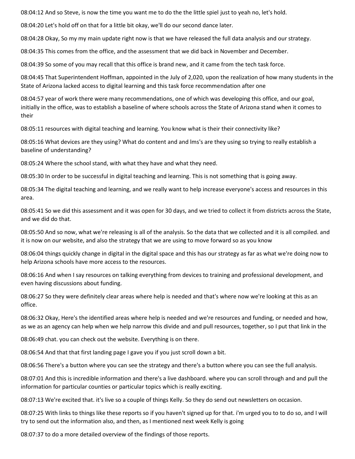08:04:12 And so Steve, is now the time you want me to do the the little spiel just to yeah no, let's hold.

08:04:20 Let's hold off on that for a little bit okay, we'll do our second dance later.

08:04:28 Okay, So my my main update right now is that we have released the full data analysis and our strategy.

08:04:35 This comes from the office, and the assessment that we did back in November and December.

08:04:39 So some of you may recall that this office is brand new, and it came from the tech task force.

08:04:45 That Superintendent Hoffman, appointed in the July of 2,020, upon the realization of how many students in the State of Arizona lacked access to digital learning and this task force recommendation after one

08:04:57 year of work there were many recommendations, one of which was developing this office, and our goal, initially in the office, was to establish a baseline of where schools across the State of Arizona stand when it comes to their

08:05:11 resources with digital teaching and learning. You know what is their their connectivity like?

08:05:16 What devices are they using? What do content and and lms's are they using so trying to really establish a baseline of understanding?

08:05:24 Where the school stand, with what they have and what they need.

08:05:30 In order to be successful in digital teaching and learning. This is not something that is going away.

08:05:34 The digital teaching and learning, and we really want to help increase everyone's access and resources in this area.

08:05:41 So we did this assessment and it was open for 30 days, and we tried to collect it from districts across the State, and we did do that.

08:05:50 And so now, what we're releasing is all of the analysis. So the data that we collected and it is all compiled. and it is now on our website, and also the strategy that we are using to move forward so as you know

08:06:04 things quickly change in digital in the digital space and this has our strategy as far as what we're doing now to help Arizona schools have more access to the resources.

08:06:16 And when I say resources on talking everything from devices to training and professional development, and even having discussions about funding.

08:06:27 So they were definitely clear areas where help is needed and that's where now we're looking at this as an office.

08:06:32 Okay, Here's the identified areas where help is needed and we're resources and funding, or needed and how, as we as an agency can help when we help narrow this divide and and pull resources, together, so I put that link in the

08:06:49 chat. you can check out the website. Everything is on there.

08:06:54 And that that first landing page I gave you if you just scroll down a bit.

08:06:56 There's a button where you can see the strategy and there's a button where you can see the full analysis.

08:07:01 And this is incredible information and there's a live dashboard. where you can scroll through and and pull the information for particular counties or particular topics which is really exciting.

08:07:13 We're excited that. it's live so a couple of things Kelly. So they do send out newsletters on occasion.

08:07:25 With links to things like these reports so if you haven't signed up for that. i'm urged you to to do so, and I will try to send out the information also, and then, as I mentioned next week Kelly is going

08:07:37 to do a more detailed overview of the findings of those reports.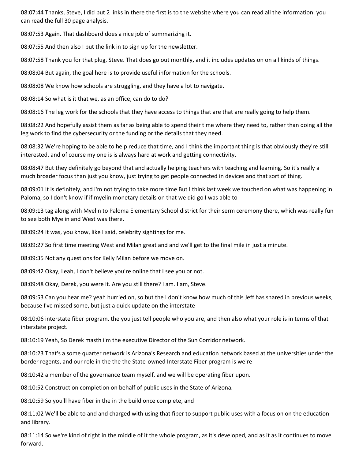08:07:44 Thanks, Steve, I did put 2 links in there the first is to the website where you can read all the information. you can read the full 30 page analysis.

08:07:53 Again. That dashboard does a nice job of summarizing it.

08:07:55 And then also I put the link in to sign up for the newsletter.

08:07:58 Thank you for that plug, Steve. That does go out monthly, and it includes updates on on all kinds of things.

08:08:04 But again, the goal here is to provide useful information for the schools.

08:08:08 We know how schools are struggling, and they have a lot to navigate.

08:08:14 So what is it that we, as an office, can do to do?

08:08:16 The leg work for the schools that they have access to things that are that are really going to help them.

08:08:22 And hopefully assist them as far as being able to spend their time where they need to, rather than doing all the leg work to find the cybersecurity or the funding or the details that they need.

08:08:32 We're hoping to be able to help reduce that time, and I think the important thing is that obviously they're still interested. and of course my one is is always hard at work and getting connectivity.

08:08:47 But they definitely go beyond that and actually helping teachers with teaching and learning. So it's really a much broader focus than just you know, just trying to get people connected in devices and that sort of thing.

08:09:01 It is definitely, and i'm not trying to take more time But I think last week we touched on what was happening in Paloma, so I don't know if if myelin monetary details on that we did go I was able to

08:09:13 tag along with Myelin to Paloma Elementary School district for their serm ceremony there, which was really fun to see both Myelin and West was there.

08:09:24 It was, you know, like I said, celebrity sightings for me.

08:09:27 So first time meeting West and Milan great and and we'll get to the final mile in just a minute.

08:09:35 Not any questions for Kelly Milan before we move on.

08:09:42 Okay, Leah, I don't believe you're online that I see you or not.

08:09:48 Okay, Derek, you were it. Are you still there? I am. I am, Steve.

08:09:53 Can you hear me? yeah hurried on, so but the I don't know how much of this Jeff has shared in previous weeks, because I've missed some, but just a quick update on the interstate

08:10:06 interstate fiber program, the you just tell people who you are, and then also what your role is in terms of that interstate project.

08:10:19 Yeah, So Derek masth i'm the executive Director of the Sun Corridor network.

08:10:23 That's a some quarter network is Arizona's Research and education network based at the universities under the border regents, and our role in the the the State-owned Interstate Fiber program is we're

08:10:42 a member of the governance team myself, and we will be operating fiber upon.

08:10:52 Construction completion on behalf of public uses in the State of Arizona.

08:10:59 So you'll have fiber in the in the build once complete, and

08:11:02 We'll be able to and and charged with using that fiber to support public uses with a focus on on the education and library.

08:11:14 So we're kind of right in the middle of it the whole program, as it's developed, and as it as it continues to move forward.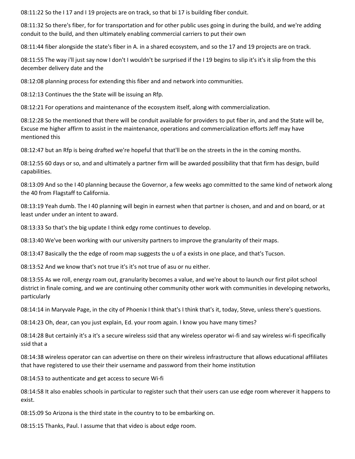08:11:22 So the I 17 and I 19 projects are on track, so that bi 17 is building fiber conduit.

08:11:32 So there's fiber, for for transportation and for other public uses going in during the build, and we're adding conduit to the build, and then ultimately enabling commercial carriers to put their own

08:11:44 fiber alongside the state's fiber in A. in a shared ecosystem, and so the 17 and 19 projects are on track.

08:11:55 The way i'll just say now I don't I wouldn't be surprised if the I 19 begins to slip it's it's it slip from the this december delivery date and the

08:12:08 planning process for extending this fiber and and network into communities.

08:12:13 Continues the the State will be issuing an Rfp.

08:12:21 For operations and maintenance of the ecosystem itself, along with commercialization.

08:12:28 So the mentioned that there will be conduit available for providers to put fiber in, and and the State will be, Excuse me higher affirm to assist in the maintenance, operations and commercialization efforts Jeff may have mentioned this

08:12:47 but an Rfp is being drafted we're hopeful that that'll be on the streets in the in the coming months.

08:12:55 60 days or so, and and ultimately a partner firm will be awarded possibility that that firm has design, build capabilities.

08:13:09 And so the I 40 planning because the Governor, a few weeks ago committed to the same kind of network along the 40 from Flagstaff to California.

08:13:19 Yeah dumb. The I 40 planning will begin in earnest when that partner is chosen, and and and on board, or at least under under an intent to award.

08:13:33 So that's the big update I think edgy rome continues to develop.

08:13:40 We've been working with our university partners to improve the granularity of their maps.

08:13:47 Basically the the edge of room map suggests the u of a exists in one place, and that's Tucson.

08:13:52 And we know that's not true it's it's not true of asu or nu either.

08:13:55 As we roll, energy roam out, granularity becomes a value, and we're about to launch our first pilot school district in finale coming, and we are continuing other community other work with communities in developing networks, particularly

08:14:14 in Maryvale Page, in the city of Phoenix I think that's I think that's it, today, Steve, unless there's questions.

08:14:23 Oh, dear, can you just explain, Ed. your room again. I know you have many times?

08:14:28 But certainly it's a it's a secure wireless ssid that any wireless operator wi-fi and say wireless wi-fi specifically ssid that a

08:14:38 wireless operator can can advertise on there on their wireless infrastructure that allows educational affiliates that have registered to use their their username and password from their home institution

08:14:53 to authenticate and get access to secure Wi-fi

08:14:58 It also enables schools in particular to register such that their users can use edge room wherever it happens to exist.

08:15:09 So Arizona is the third state in the country to to be embarking on.

08:15:15 Thanks, Paul. I assume that that video is about edge room.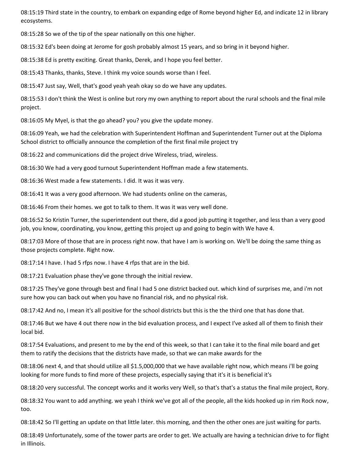08:15:19 Third state in the country, to embark on expanding edge of Rome beyond higher Ed, and indicate 12 in library ecosystems.

08:15:28 So we of the tip of the spear nationally on this one higher.

08:15:32 Ed's been doing at Jerome for gosh probably almost 15 years, and so bring in it beyond higher.

08:15:38 Ed is pretty exciting. Great thanks, Derek, and I hope you feel better.

08:15:43 Thanks, thanks, Steve. I think my voice sounds worse than I feel.

08:15:47 Just say, Well, that's good yeah yeah okay so do we have any updates.

08:15:53 I don't think the West is online but rory my own anything to report about the rural schools and the final mile project.

08:16:05 My Myel, is that the go ahead? you? you give the update money.

08:16:09 Yeah, we had the celebration with Superintendent Hoffman and Superintendent Turner out at the Diploma School district to officially announce the completion of the first final mile project try

08:16:22 and communications did the project drive Wireless, triad, wireless.

08:16:30 We had a very good turnout Superintendent Hoffman made a few statements.

08:16:36 West made a few statements. I did. It was it was very.

08:16:41 It was a very good afternoon. We had students online on the cameras,

08:16:46 From their homes. we got to talk to them. It was it was very well done.

08:16:52 So Kristin Turner, the superintendent out there, did a good job putting it together, and less than a very good job, you know, coordinating, you know, getting this project up and going to begin with We have 4.

08:17:03 More of those that are in process right now. that have I am is working on. We'll be doing the same thing as those projects complete. Right now.

08:17:14 I have. I had 5 rfps now. I have 4 rfps that are in the bid.

08:17:21 Evaluation phase they've gone through the initial review.

08:17:25 They've gone through best and final I had 5 one district backed out. which kind of surprises me, and i'm not sure how you can back out when you have no financial risk, and no physical risk.

08:17:42 And no, I mean it's all positive for the school districts but this is the the third one that has done that.

08:17:46 But we have 4 out there now in the bid evaluation process, and I expect I've asked all of them to finish their local bid.

08:17:54 Evaluations, and present to me by the end of this week, so that I can take it to the final mile board and get them to ratify the decisions that the districts have made, so that we can make awards for the

08:18:06 next 4, and that should utilize all \$1.5,000,000 that we have available right now, which means i'll be going looking for more funds to find more of these projects, especially saying that it's it is beneficial it's

08:18:20 very successful. The concept works and it works very Well, so that's that's a status the final mile project, Rory.

08:18:32 You want to add anything. we yeah I think we've got all of the people, all the kids hooked up in rim Rock now, too.

08:18:42 So I'll getting an update on that little later. this morning, and then the other ones are just waiting for parts.

08:18:49 Unfortunately, some of the tower parts are order to get. We actually are having a technician drive to for flight in Illinois.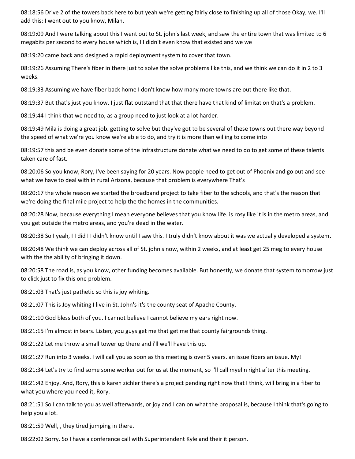08:18:56 Drive 2 of the towers back here to but yeah we're getting fairly close to finishing up all of those Okay, we. I'll add this: I went out to you know, Milan.

08:19:09 And I were talking about this I went out to St. john's last week, and saw the entire town that was limited to 6 megabits per second to every house which is, I I didn't even know that existed and we we

08:19:20 came back and designed a rapid deployment system to cover that town.

08:19:26 Assuming There's fiber in there just to solve the solve problems like this, and we think we can do it in 2 to 3 weeks.

08:19:33 Assuming we have fiber back home I don't know how many more towns are out there like that.

08:19:37 But that's just you know. I just flat outstand that that there have that kind of limitation that's a problem.

08:19:44 I think that we need to, as a group need to just look at a lot harder.

08:19:49 Mila is doing a great job. getting to solve but they've got to be several of these towns out there way beyond the speed of what we're you know we're able to do, and try it is more than willing to come into

08:19:57 this and be even donate some of the infrastructure donate what we need to do to get some of these talents taken care of fast.

08:20:06 So you know, Rory, I've been saying for 20 years. Now people need to get out of Phoenix and go out and see what we have to deal with in rural Arizona, because that problem is everywhere That's

08:20:17 the whole reason we started the broadband project to take fiber to the schools, and that's the reason that we're doing the final mile project to help the the homes in the communities.

08:20:28 Now, because everything I mean everyone believes that you know life. is rosy like it is in the metro areas, and you get outside the metro areas, and you're dead in the water.

08:20:38 So I yeah, I I did I I didn't know until I saw this. I truly didn't know about it was we actually developed a system.

08:20:48 We think we can deploy across all of St. john's now, within 2 weeks, and at least get 25 meg to every house with the the ability of bringing it down.

08:20:58 The road is, as you know, other funding becomes available. But honestly, we donate that system tomorrow just to click just to fix this one problem.

08:21:03 That's just pathetic so this is joy whiting.

08:21:07 This is Joy whiting I live in St. John's it's the county seat of Apache County.

08:21:10 God bless both of you. I cannot believe I cannot believe my ears right now.

08:21:15 I'm almost in tears. Listen, you guys get me that get me that county fairgrounds thing.

08:21:22 Let me throw a small tower up there and i'll we'll have this up.

08:21:27 Run into 3 weeks. I will call you as soon as this meeting is over 5 years. an issue fibers an issue. My!

08:21:34 Let's try to find some some worker out for us at the moment, so i'll call myelin right after this meeting.

08:21:42 Enjoy. And, Rory, this is karen zichler there's a project pending right now that I think, will bring in a fiber to what you where you need it, Rory.

08:21:51 So I can talk to you as well afterwards, or joy and I can on what the proposal is, because I think that's going to help you a lot.

08:21:59 Well, , they tired jumping in there.

08:22:02 Sorry. So I have a conference call with Superintendent Kyle and their it person.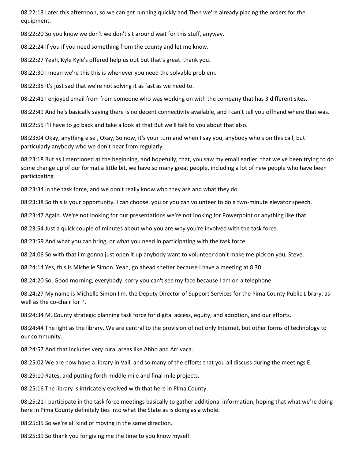08:22:13 Later this afternoon, so we can get running quickly and Then we're already placing the orders for the equipment.

08:22:20 So you know we don't we don't sit around wait for this stuff, anyway.

08:22:24 If you if you need something from the county and let me know.

08:22:27 Yeah, Kyle Kyle's offered help us out but that's great. thank you.

08:22:30 I mean we're this this is whenever you need the solvable problem.

08:22:35 It's just sad that we're not solving it as fast as we need to.

08:22:41 I enjoyed email from from someone who was working on with the company that has 3 different sites.

08:22:49 And he's basically saying there is no decent connectivity available, and I can't tell you offhand where that was.

08:22:55 I'll have to go back and take a look at that But we'll talk to you about that also.

08:23:04 Okay, anything else , Okay, So now, it's your turn and when I say you, anybody who's on this call, but particularly anybody who we don't hear from regularly.

08:23:18 But as I mentioned at the beginning, and hopefully, that, you saw my email earlier, that we've been trying to do some change up of our format a little bit, we have so many great people, including a lot of new people who have been participating

08:23:34 in the task force, and we don't really know who they are and what they do.

08:23:38 So this is your opportunity. I can choose. you or you can volunteer to do a two-minute elevator speech.

08:23:47 Again. We're not looking for our presentations we're not looking for Powerpoint or anything like that.

08:23:54 Just a quick couple of minutes about who you are why you're involved with the task force.

08:23:59 And what you can bring, or what you need in participating with the task force.

08:24:06 So with that i'm gonna just open it up anybody want to volunteer don't make me pick on you, Steve.

08:24:14 Yes, this is Michelle Simon. Yeah, go ahead shelter because I have a meeting at 8 30.

08:24:20 So. Good morning, everybody. sorry you can't see my face because I am on a telephone.

08:24:27 My name is Michelle Simon I'm. the Deputy Director of Support Services for the Pima County Public Library, as well as the co-chair for P.

08:24:34 M. County strategic planning task force for digital access, equity, and adoption, and our efforts.

08:24:44 The light as the library. We are central to the provision of not only Internet, but other forms of technology to our community.

08:24:57 And that includes very rural areas like Ahho and Arrivaca.

08:25:02 We are now have a library in Vail, and so many of the efforts that you all discuss during the meetings E.

08:25:10 Rates, and putting forth middle mile and final mile projects.

08:25:16 The library is intricately evolved with that here in Pima County.

08:25:21 I participate in the task force meetings basically to gather additional information, hoping that what we're doing here in Pima County definitely ties into what the State as is doing as a whole.

08:25:35 So we're all kind of moving in the same direction.

08:25:39 So thank you for giving me the time to you know myself.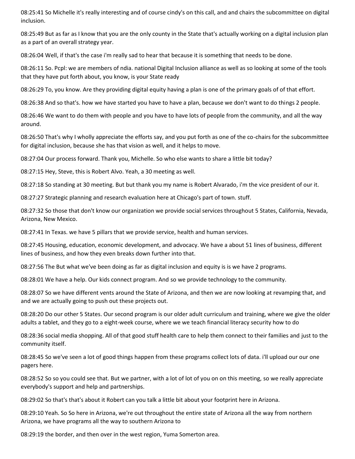08:25:41 So Michelle it's really interesting and of course cindy's on this call, and and chairs the subcommittee on digital inclusion.

08:25:49 But as far as I know that you are the only county in the State that's actually working on a digital inclusion plan as a part of an overall strategy year.

08:26:04 Well, if that's the case i'm really sad to hear that because it is something that needs to be done.

08:26:11 So. Pcpl: we are members of ndia. national Digital Inclusion alliance as well as so looking at some of the tools that they have put forth about, you know, is your State ready

08:26:29 To, you know. Are they providing digital equity having a plan is one of the primary goals of of that effort.

08:26:38 And so that's. how we have started you have to have a plan, because we don't want to do things 2 people.

08:26:46 We want to do them with people and you have to have lots of people from the community, and all the way around.

08:26:50 That's why I wholly appreciate the efforts say, and you put forth as one of the co-chairs for the subcommittee for digital inclusion, because she has that vision as well, and it helps to move.

08:27:04 Our process forward. Thank you, Michelle. So who else wants to share a little bit today?

08:27:15 Hey, Steve, this is Robert Alvo. Yeah, a 30 meeting as well.

08:27:18 So standing at 30 meeting. But but thank you my name is Robert Alvarado, i'm the vice president of our it.

08:27:27 Strategic planning and research evaluation here at Chicago's part of town. stuff.

08:27:32 So those that don't know our organization we provide social services throughout 5 States, California, Nevada, Arizona, New Mexico.

08:27:41 In Texas. we have 5 pillars that we provide service, health and human services.

08:27:45 Housing, education, economic development, and advocacy. We have a about 51 lines of business, different lines of business, and how they even breaks down further into that.

08:27:56 The But what we've been doing as far as digital inclusion and equity is is we have 2 programs.

08:28:01 We have a help. Our kids connect program. And so we provide technology to the community.

08:28:07 So we have different vents around the State of Arizona, and then we are now looking at revamping that, and and we are actually going to push out these projects out.

08:28:20 Do our other 5 States. Our second program is our older adult curriculum and training, where we give the older adults a tablet, and they go to a eight-week course, where we we teach financial literacy security how to do

08:28:36 social media shopping. All of that good stuff health care to help them connect to their families and just to the community itself.

08:28:45 So we've seen a lot of good things happen from these programs collect lots of data. i'll upload our our one pagers here.

08:28:52 So so you could see that. But we partner, with a lot of lot of you on on this meeting, so we really appreciate everybody's support and help and partnerships.

08:29:02 So that's that's about it Robert can you talk a little bit about your footprint here in Arizona.

08:29:10 Yeah. So So here in Arizona, we're out throughout the entire state of Arizona all the way from northern Arizona, we have programs all the way to southern Arizona to

08:29:19 the border, and then over in the west region, Yuma Somerton area.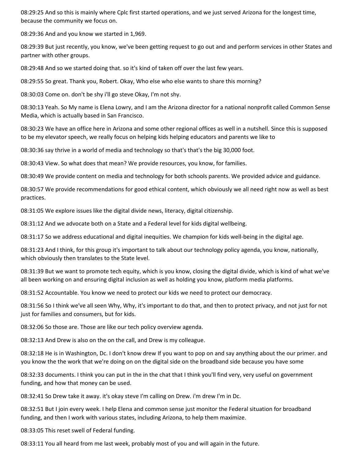08:29:25 And so this is mainly where Cplc first started operations, and we just served Arizona for the longest time, because the community we focus on.

08:29:36 And and you know we started in 1,969.

08:29:39 But just recently, you know, we've been getting request to go out and and perform services in other States and partner with other groups.

08:29:48 And so we started doing that. so it's kind of taken off over the last few years.

08:29:55 So great. Thank you, Robert. Okay, Who else who else wants to share this morning?

08:30:03 Come on. don't be shy i'll go steve Okay, I'm not shy.

08:30:13 Yeah. So My name is Elena Lowry, and I am the Arizona director for a national nonprofit called Common Sense Media, which is actually based in San Francisco.

08:30:23 We have an office here in Arizona and some other regional offices as well in a nutshell. Since this is supposed to be my elevator speech, we really focus on helping kids helping educators and parents we like to

08:30:36 say thrive in a world of media and technology so that's that's the big 30,000 foot.

08:30:43 View. So what does that mean? We provide resources, you know, for families.

08:30:49 We provide content on media and technology for both schools parents. We provided advice and guidance.

08:30:57 We provide recommendations for good ethical content, which obviously we all need right now as well as best practices.

08:31:05 We explore issues like the digital divide news, literacy, digital citizenship.

08:31:12 And we advocate both on a State and a Federal level for kids digital wellbeing.

08:31:17 So we address educational and digital inequities. We champion for kids well-being in the digital age.

08:31:23 And I think, for this group it's important to talk about our technology policy agenda, you know, nationally, which obviously then translates to the State level.

08:31:39 But we want to promote tech equity, which is you know, closing the digital divide, which is kind of what we've all been working on and ensuring digital inclusion as well as holding you know, platform media platforms.

08:31:52 Accountable. You know we need to protect our kids we need to protect our democracy.

08:31:56 So I think we've all seen Why, Why, it's important to do that, and then to protect privacy, and not just for not just for families and consumers, but for kids.

08:32:06 So those are. Those are like our tech policy overview agenda.

08:32:13 And Drew is also on the on the call, and Drew is my colleague.

08:32:18 He is in Washington, Dc. I don't know drew If you want to pop on and say anything about the our primer. and you know the the work that we're doing on on the digital side on the broadband side because you have some

08:32:33 documents. I think you can put in the in the chat that I think you'll find very, very useful on government funding, and how that money can be used.

08:32:41 So Drew take it away. it's okay steve I'm calling on Drew. i'm drew I'm in Dc.

08:32:51 But I join every week. I help Elena and common sense just monitor the Federal situation for broadband funding, and then I work with various states, including Arizona, to help them maximize.

08:33:05 This reset swell of Federal funding.

08:33:11 You all heard from me last week, probably most of you and will again in the future.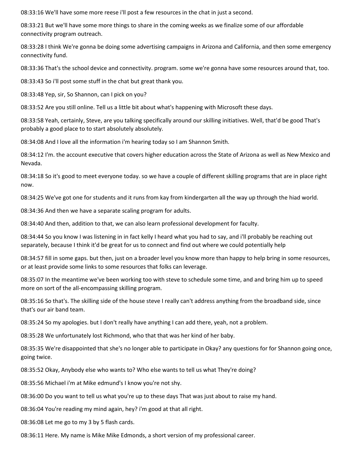08:33:16 We'll have some more reese i'll post a few resources in the chat in just a second.

08:33:21 But we'll have some more things to share in the coming weeks as we finalize some of our affordable connectivity program outreach.

08:33:28 I think We're gonna be doing some advertising campaigns in Arizona and California, and then some emergency connectivity fund.

08:33:36 That's the school device and connectivity. program. some we're gonna have some resources around that, too.

08:33:43 So i'll post some stuff in the chat but great thank you.

08:33:48 Yep, sir, So Shannon, can I pick on you?

08:33:52 Are you still online. Tell us a little bit about what's happening with Microsoft these days.

08:33:58 Yeah, certainly, Steve, are you talking specifically around our skilling initiatives. Well, that'd be good That's probably a good place to to start absolutely absolutely.

08:34:08 And I love all the information i'm hearing today so I am Shannon Smith.

08:34:12 I'm. the account executive that covers higher education across the State of Arizona as well as New Mexico and Nevada.

08:34:18 So it's good to meet everyone today. so we have a couple of different skilling programs that are in place right now.

08:34:25 We've got one for students and it runs from kay from kindergarten all the way up through the hiad world.

08:34:36 And then we have a separate scaling program for adults.

08:34:40 And then, addition to that, we can also learn professional development for faculty.

08:34:44 So you know I was listening in in fact kelly I heard what you had to say, and i'll probably be reaching out separately, because I think it'd be great for us to connect and find out where we could potentially help

08:34:57 fill in some gaps. but then, just on a broader level you know more than happy to help bring in some resources, or at least provide some links to some resources that folks can leverage.

08:35:07 In the meantime we've been working too with steve to schedule some time, and and bring him up to speed more on sort of the all-encompassing skilling program.

08:35:16 So that's. The skilling side of the house steve I really can't address anything from the broadband side, since that's our air band team.

08:35:24 So my apologies. but I don't really have anything I can add there, yeah, not a problem.

08:35:28 We unfortunately lost Richmond, who that that was her kind of her baby.

08:35:35 We're disappointed that she's no longer able to participate in Okay? any questions for for Shannon going once, going twice.

08:35:52 Okay, Anybody else who wants to? Who else wants to tell us what They're doing?

08:35:56 Michael i'm at Mike edmund's I know you're not shy.

08:36:00 Do you want to tell us what you're up to these days That was just about to raise my hand.

08:36:04 You're reading my mind again, hey? i'm good at that all right.

08:36:08 Let me go to my 3 by 5 flash cards.

08:36:11 Here. My name is Mike Mike Edmonds, a short version of my professional career.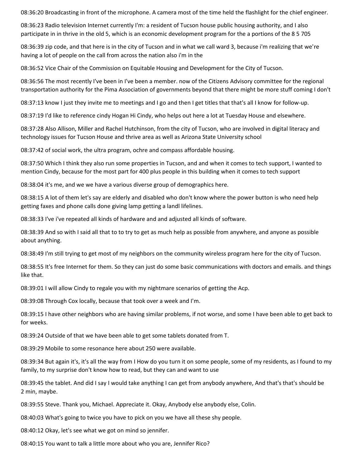08:36:20 Broadcasting in front of the microphone. A camera most of the time held the flashlight for the chief engineer.

08:36:23 Radio television Internet currently I'm: a resident of Tucson house public housing authority, and I also participate in in thrive in the old 5, which is an economic development program for the a portions of the 8 5 705

08:36:39 zip code, and that here is in the city of Tucson and in what we call ward 3, because i'm realizing that we're having a lot of people on the call from across the nation also i'm in the

08:36:52 Vice Chair of the Commission on Equitable Housing and Development for the City of Tucson.

08:36:56 The most recently I've been in I've been a member. now of the Citizens Advisory committee for the regional transportation authority for the Pima Association of governments beyond that there might be more stuff coming I don't

08:37:13 know I just they invite me to meetings and I go and then I get titles that that's all I know for follow-up.

08:37:19 I'd like to reference cindy Hogan Hi Cindy, who helps out here a lot at Tuesday House and elsewhere.

08:37:28 Also Allison, Miller and Rachel Hutchinson, from the city of Tucson, who are involved in digital literacy and technology issues for Tucson House and thrive area as well as Arizona State University school

08:37:42 of social work, the ultra program, ochre and compass affordable housing.

08:37:50 Which I think they also run some properties in Tucson, and and when it comes to tech support, I wanted to mention Cindy, because for the most part for 400 plus people in this building when it comes to tech support

08:38:04 it's me, and we we have a various diverse group of demographics here.

08:38:15 A lot of them let's say are elderly and disabled who don't know where the power button is who need help getting faxes and phone calls done giving lamp getting a landl lifelines.

08:38:33 I've i've repeated all kinds of hardware and and adjusted all kinds of software.

08:38:39 And so with I said all that to to try to get as much help as possible from anywhere, and anyone as possible about anything.

08:38:49 I'm still trying to get most of my neighbors on the community wireless program here for the city of Tucson.

08:38:55 It's free Internet for them. So they can just do some basic communications with doctors and emails. and things like that.

08:39:01 I will allow Cindy to regale you with my nightmare scenarios of getting the Acp.

08:39:08 Through Cox locally, because that took over a week and I'm.

08:39:15 I have other neighbors who are having similar problems, if not worse, and some I have been able to get back to for weeks.

08:39:24 Outside of that we have been able to get some tablets donated from T.

08:39:29 Mobile to some resonance here about 250 were available.

08:39:34 But again it's, it's all the way from I How do you turn it on some people, some of my residents, as I found to my family, to my surprise don't know how to read, but they can and want to use

08:39:45 the tablet. And did I say I would take anything I can get from anybody anywhere, And that's that's should be 2 min, maybe.

08:39:55 Steve. Thank you, Michael. Appreciate it. Okay, Anybody else anybody else, Colin.

08:40:03 What's going to twice you have to pick on you we have all these shy people.

08:40:12 Okay, let's see what we got on mind so jennifer.

08:40:15 You want to talk a little more about who you are, Jennifer Rico?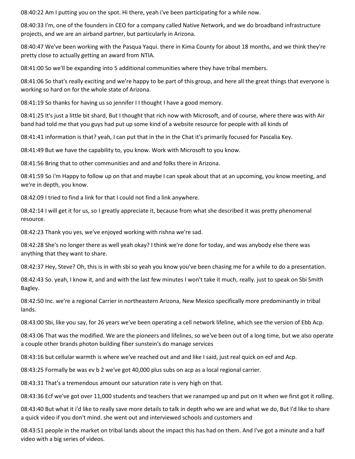08:40:22 Am I putting you on the spot. Hi there, yeah i've been participating for a while now.

08:40:33 I'm, one of the founders in CEO for a company called Native Network, and we do broadband infrastructure projects, and we are an airband partner, but particularly in Arizona.

08:40:47 We've been working with the Pasqua Yaqui. there in Kima County for about 18 months, and we think they're pretty close to actually getting an award from NTIA.

08:41:00 So we'll be expanding into 5 additional communities where they have tribal members.

08:41:06 So that's really exciting and we're happy to be part of this group, and here all the great things that everyone is working so hard on for the whole state of Arizona.

08:41:19 So thanks for having us so jennifer I I thought I have a good memory.

08:41:25 It's just a little bit shard, But I thought that rich now with Microsoft, and of course, where there was with Air band had told me that you guys had put up some kind of a website resource for people with all kinds of

08:41:41 information is that? yeah, I can put that in the in the Chat it's primarily focused for Pascalia Key.

08:41:49 But we have the capability to, you know. Work with Microsoft to you know.

08:41:56 Bring that to other communities and and and folks there in Arizona.

08:41:59 So i'm Happy to follow up on that and maybe I can speak about that at an upcoming, you know meeting, and we're in depth, you know.

08:42:09 I tried to find a link for that I could not find a link anywhere.

08:42:14 I will get it for us, so I greatly appreciate it, because from what she described it was pretty phenomenal resource.

08:42:23 Thank you yes, we've enjoyed working with rishna we're sad.

08:42:28 She's no longer there as well yeah okay? I think we're done for today, and was anybody else there was anything that they want to share.

08:42:37 Hey, Steve? Oh, this is in with sbi so yeah you know you've been chasing me for a while to do a presentation.

08:42:43 So. yeah, I know it, and and with the last few minutes I won't take it much, really. just to speak on Sbi Smith Bagley.

08:42:50 Inc. we're a regional Carrier in northeastern Arizona, New Mexico specifically more predominantly in tribal lands.

08:43:00 Sbi, like you say, for 26 years we've been operating a cell network lifeline, which see the version of Ebb Acp.

08:43:06 That was the modified. We are the pioneers and lifelines, so we've been out of a long time, but we also operate a couple other brands photon building fiber sunstein's do manage services

08:43:16 but cellular warmth is where we've reached out and and like I said, just real quick on ecf and Acp.

08:43:25 Formally be was ev b 2 we've got 40,000 plus subs on acp as a local regional carrier.

08:43:31 That's a tremendous amount our saturation rate is very high on that.

08:43:36 Ecf we've got over 11,000 students and teachers that we ranamped up and put on it when we first got it rolling.

08:43:40 But what it i'd like to really save more details to talk in depth who we are and what we do, But I'd like to share a quick video if you don't mind. she went out and interviewed schools and customers and

08:43:51 people in the market on tribal lands about the impact this has had on them. And I've got a minute and a half video with a big series of videos.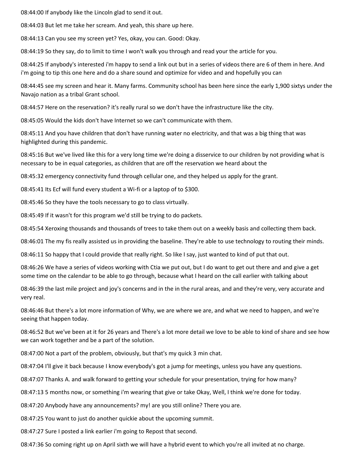08:44:00 If anybody like the Lincoln glad to send it out.

08:44:03 But let me take her scream. And yeah, this share up here.

08:44:13 Can you see my screen yet? Yes, okay, you can. Good: Okay.

08:44:19 So they say, do to limit to time I won't walk you through and read your the article for you.

08:44:25 If anybody's interested i'm happy to send a link out but in a series of videos there are 6 of them in here. And i'm going to tip this one here and do a share sound and optimize for video and and hopefully you can

08:44:45 see my screen and hear it. Many farms. Community school has been here since the early 1,900 sixtys under the Navajo nation as a tribal Grant school.

08:44:57 Here on the reservation? it's really rural so we don't have the infrastructure like the city.

08:45:05 Would the kids don't have Internet so we can't communicate with them.

08:45:11 And you have children that don't have running water no electricity, and that was a big thing that was highlighted during this pandemic.

08:45:16 But we've lived like this for a very long time we're doing a disservice to our children by not providing what is necessary to be in equal categories, as children that are off the reservation we heard about the

08:45:32 emergency connectivity fund through cellular one, and they helped us apply for the grant.

08:45:41 Its Ecf will fund every student a Wi-fi or a laptop of to \$300.

08:45:46 So they have the tools necessary to go to class virtually.

08:45:49 If it wasn't for this program we'd still be trying to do packets.

08:45:54 Xeroxing thousands and thousands of trees to take them out on a weekly basis and collecting them back.

08:46:01 The my fis really assisted us in providing the baseline. They're able to use technology to routing their minds.

08:46:11 So happy that I could provide that really right. So like I say, just wanted to kind of put that out.

08:46:26 We have a series of videos working with Ctia we put out, but I do want to get out there and and give a get some time on the calendar to be able to go through, because what I heard on the call earlier with talking about

08:46:39 the last mile project and joy's concerns and in the in the rural areas, and and they're very, very accurate and very real.

08:46:46 But there's a lot more information of Why, we are where we are, and what we need to happen, and we're seeing that happen today.

08:46:52 But we've been at it for 26 years and There's a lot more detail we love to be able to kind of share and see how we can work together and be a part of the solution.

08:47:00 Not a part of the problem, obviously, but that's my quick 3 min chat.

08:47:04 I'll give it back because I know everybody's got a jump for meetings, unless you have any questions.

08:47:07 Thanks A. and walk forward to getting your schedule for your presentation, trying for how many?

08:47:13 5 months now, or something i'm wearing that give or take Okay, Well, I think we're done for today.

08:47:20 Anybody have any announcements? my! are you still online? There you are.

08:47:25 You want to just do another quickie about the upcoming summit.

08:47:27 Sure I posted a link earlier i'm going to Repost that second.

08:47:36 So coming right up on April sixth we will have a hybrid event to which you're all invited at no charge.